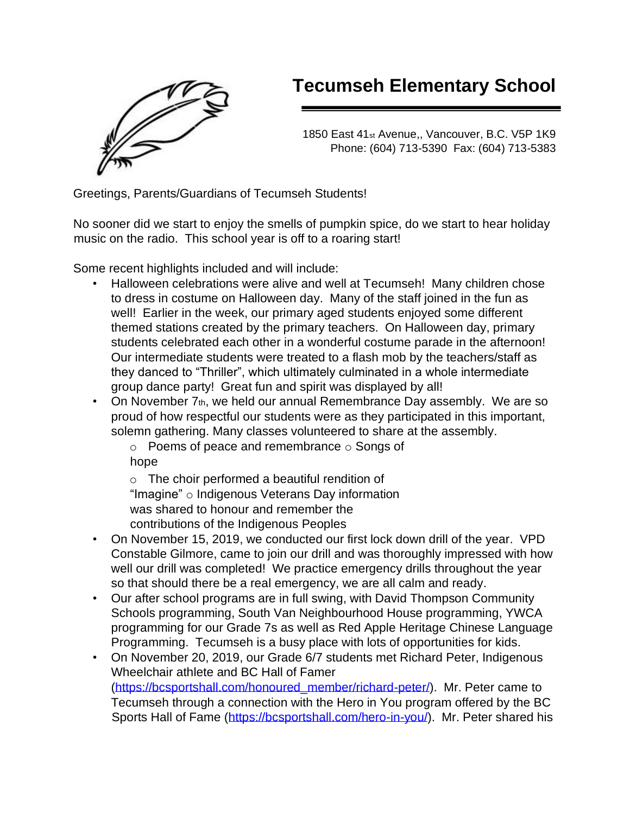

# **Tecumseh Elementary School**

1850 East 41st Avenue,, Vancouver, B.C. V5P 1K9 Phone: (604) 713-5390 Fax: (604) 713-5383

Greetings, Parents/Guardians of Tecumseh Students!

No sooner did we start to enjoy the smells of pumpkin spice, do we start to hear holiday music on the radio. This school year is off to a roaring start!

Some recent highlights included and will include:

- Halloween celebrations were alive and well at Tecumseh! Many children chose to dress in costume on Halloween day. Many of the staff joined in the fun as well! Earlier in the week, our primary aged students enjoyed some different themed stations created by the primary teachers. On Halloween day, primary students celebrated each other in a wonderful costume parade in the afternoon! Our intermediate students were treated to a flash mob by the teachers/staff as they danced to "Thriller", which ultimately culminated in a whole intermediate group dance party! Great fun and spirit was displayed by all!
- On November 7th, we held our annual Remembrance Day assembly. We are so proud of how respectful our students were as they participated in this important, solemn gathering. Many classes volunteered to share at the assembly.

 $\circ$  Poems of peace and remembrance  $\circ$  Songs of hope

o The choir performed a beautiful rendition of "Imagine" o Indigenous Veterans Day information was shared to honour and remember the contributions of the Indigenous Peoples

- On November 15, 2019, we conducted our first lock down drill of the year. VPD Constable Gilmore, came to join our drill and was thoroughly impressed with how well our drill was completed! We practice emergency drills throughout the year so that should there be a real emergency, we are all calm and ready.
- Our after school programs are in full swing, with David Thompson Community Schools programming, South Van Neighbourhood House programming, YWCA programming for our Grade 7s as well as Red Apple Heritage Chinese Language Programming. Tecumseh is a busy place with lots of opportunities for kids.
- On November 20, 2019, our Grade 6/7 students met Richard Peter, Indigenous Wheelchair athlete and BC Hall of Famer [\(https://bcsportshall.com/honoured\\_member/richard-peter/\).](https://bcsportshall.com/honoured_member/richard-peter/) Mr. Peter came to Tecumseh through a connection with the Hero in You program offered by the BC Sports Hall of Fame [\(https://bcsportshall.com/hero-in-you/\).](https://bcsportshall.com/hero-in-you/) Mr. Peter shared his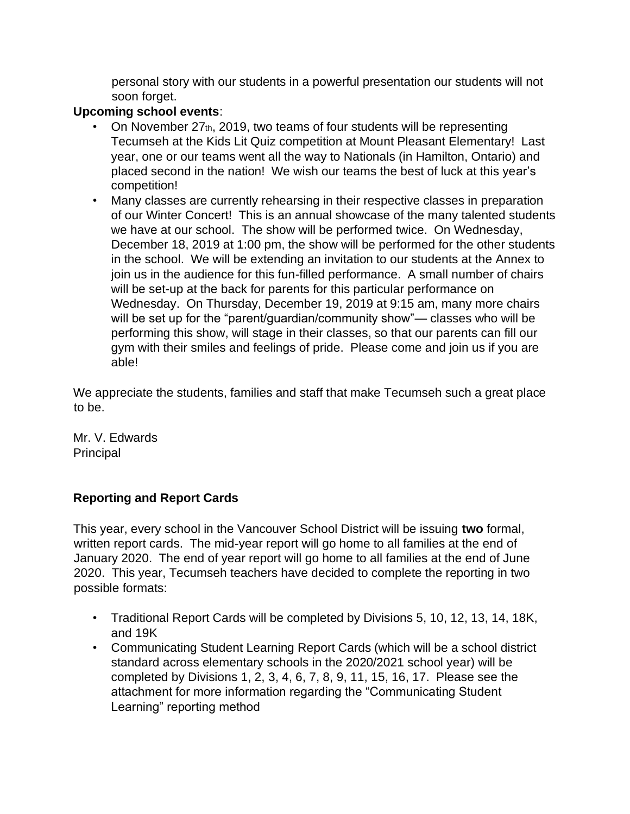personal story with our students in a powerful presentation our students will not soon forget.

## **Upcoming school events**:

- On November 27th, 2019, two teams of four students will be representing Tecumseh at the Kids Lit Quiz competition at Mount Pleasant Elementary! Last year, one or our teams went all the way to Nationals (in Hamilton, Ontario) and placed second in the nation! We wish our teams the best of luck at this year's competition!
- Many classes are currently rehearsing in their respective classes in preparation of our Winter Concert! This is an annual showcase of the many talented students we have at our school. The show will be performed twice. On Wednesday, December 18, 2019 at 1:00 pm, the show will be performed for the other students in the school. We will be extending an invitation to our students at the Annex to join us in the audience for this fun-filled performance. A small number of chairs will be set-up at the back for parents for this particular performance on Wednesday. On Thursday, December 19, 2019 at 9:15 am, many more chairs will be set up for the "parent/quardian/community show"— classes who will be performing this show, will stage in their classes, so that our parents can fill our gym with their smiles and feelings of pride. Please come and join us if you are able!

We appreciate the students, families and staff that make Tecumseh such a great place to be.

Mr. V. Edwards **Principal** 

### **Reporting and Report Cards**

This year, every school in the Vancouver School District will be issuing **two** formal, written report cards. The mid-year report will go home to all families at the end of January 2020. The end of year report will go home to all families at the end of June 2020. This year, Tecumseh teachers have decided to complete the reporting in two possible formats:

- Traditional Report Cards will be completed by Divisions 5, 10, 12, 13, 14, 18K, and 19K
- Communicating Student Learning Report Cards (which will be a school district standard across elementary schools in the 2020/2021 school year) will be completed by Divisions 1, 2, 3, 4, 6, 7, 8, 9, 11, 15, 16, 17. Please see the attachment for more information regarding the "Communicating Student Learning" reporting method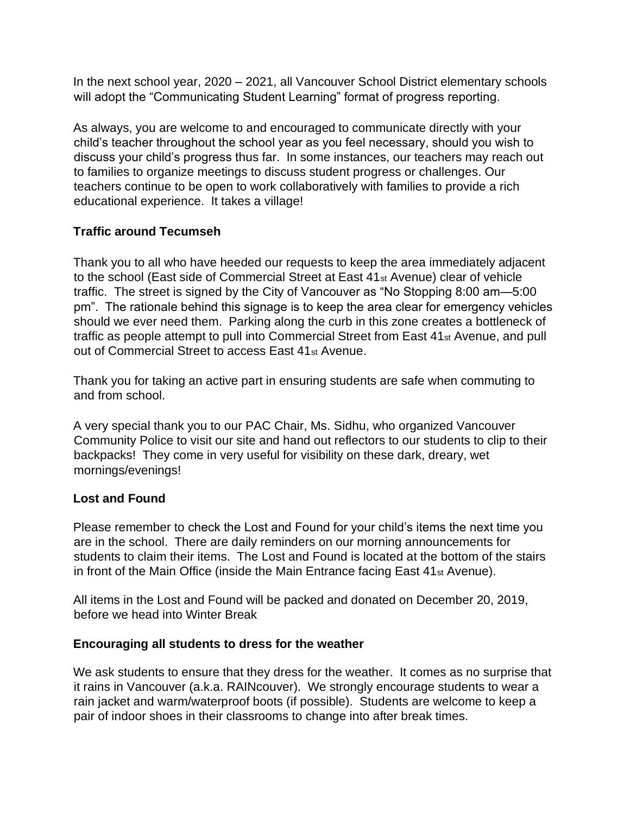In the next school year, 2020 – 2021, all Vancouver School District elementary schools will adopt the "Communicating Student Learning" format of progress reporting.

As always, you are welcome to and encouraged to communicate directly with your child's teacher throughout the school year as you feel necessary, should you wish to discuss your child's progress thus far. In some instances, our teachers may reach out to families to organize meetings to discuss student progress or challenges. Our teachers continue to be open to work collaboratively with families to provide a rich educational experience. It takes a village!

### **Traffic around Tecumseh**

Thank you to all who have heeded our requests to keep the area immediately adjacent to the school (East side of Commercial Street at East 41st Avenue) clear of vehicle traffic. The street is signed by the City of Vancouver as "No Stopping 8:00 am—5:00 pm". The rationale behind this signage is to keep the area clear for emergency vehicles should we ever need them. Parking along the curb in this zone creates a bottleneck of traffic as people attempt to pull into Commercial Street from East 41<sub>st</sub> Avenue, and pull out of Commercial Street to access East 41st Avenue.

Thank you for taking an active part in ensuring students are safe when commuting to and from school.

A very special thank you to our PAC Chair, Ms. Sidhu, who organized Vancouver Community Police to visit our site and hand out reflectors to our students to clip to their backpacks! They come in very useful for visibility on these dark, dreary, wet mornings/evenings!

### **Lost and Found**

Please remember to check the Lost and Found for your child's items the next time you are in the school. There are daily reminders on our morning announcements for students to claim their items. The Lost and Found is located at the bottom of the stairs in front of the Main Office (inside the Main Entrance facing East 41st Avenue).

All items in the Lost and Found will be packed and donated on December 20, 2019, before we head into Winter Break

### **Encouraging all students to dress for the weather**

We ask students to ensure that they dress for the weather. It comes as no surprise that it rains in Vancouver (a.k.a. RAINcouver). We strongly encourage students to wear a rain jacket and warm/waterproof boots (if possible). Students are welcome to keep a pair of indoor shoes in their classrooms to change into after break times.